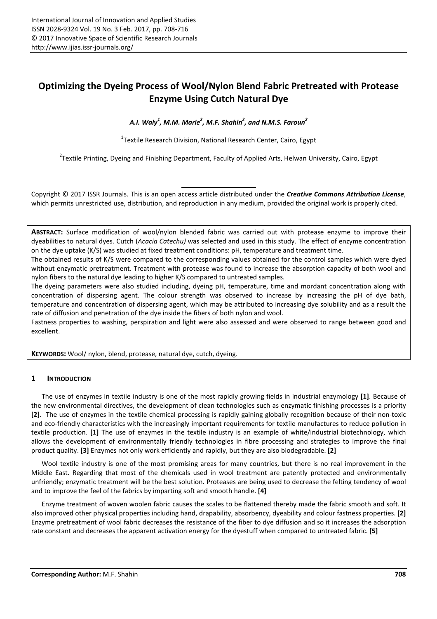# **Optimizing the Dyeing Process of Wool/Nylon Blend Fabric Pretreated with Protease Enzyme Using Cutch Natural Dye**

*A.I. Waly<sup>1</sup> , M.M. Marie<sup>2</sup> , M.F. Shahin<sup>2</sup> , and N.M.S. Faroun<sup>2</sup>*

<sup>1</sup>Textile Research Division, National Research Center, Cairo, Egypt

<sup>2</sup>Textile Printing, Dyeing and Finishing Department, Faculty of Applied Arts, Helwan University, Cairo, Egypt

Copyright © 2017 ISSR Journals. This is an open access article distributed under the *Creative Commons Attribution License*, which permits unrestricted use, distribution, and reproduction in any medium, provided the original work is properly cited.

**ABSTRACT:** Surface modification of wool/nylon blended fabric was carried out with protease enzyme to improve their dyeabilities to natural dyes. Cutch (*Acacia Catechu)* was selected and used in this study. The effect of enzyme concentration on the dye uptake (K/S) was studied at fixed treatment conditions: pH, temperature and treatment time.

The obtained results of K/S were compared to the corresponding values obtained for the control samples which were dyed without enzymatic pretreatment. Treatment with protease was found to increase the absorption capacity of both wool and nylon fibers to the natural dye leading to higher K/S compared to untreated samples.

The dyeing parameters were also studied including, dyeing pH, temperature, time and mordant concentration along with concentration of dispersing agent. The colour strength was observed to increase by increasing the pH of dye bath, temperature and concentration of dispersing agent, which may be attributed to increasing dye solubility and as a result the rate of diffusion and penetration of the dye inside the fibers of both nylon and wool.

Fastness properties to washing, perspiration and light were also assessed and were observed to range between good and excellent.

**KEYWORDS:** Wool/ nylon, blend, protease, natural dye, cutch, dyeing.

# **1 INTRODUCTION**

The use of enzymes in textile industry is one of the most rapidly growing fields in industrial enzymology **[1]**. Because of the new environmental directives, the development of clean technologies such as enzymatic finishing processes is a priority **[2]**. The use of enzymes in the textile chemical processing is rapidly gaining globally recognition because of their non-toxic and eco-friendly characteristics with the increasingly important requirements for textile manufactures to reduce pollution in textile production. **[1]** The use of enzymes in the textile industry is an example of white/industrial biotechnology, which allows the development of environmentally friendly technologies in fibre processing and strategies to improve the final product quality. **[3]** Enzymes not only work efficiently and rapidly, but they are also biodegradable. **[2]** 

Wool textile industry is one of the most promising areas for many countries, but there is no real improvement in the Middle East. Regarding that most of the chemicals used in wool treatment are patently protected and environmentally unfriendly; enzymatic treatment will be the best solution. Proteases are being used to decrease the felting tendency of wool and to improve the feel of the fabrics by imparting soft and smooth handle. **[4]** 

Enzyme treatment of woven woolen fabric causes the scales to be flattened thereby made the fabric smooth and soft. It also improved other physical properties including hand, drapability, absorbency, dyeability and colour fastness properties. **[2]** Enzyme pretreatment of wool fabric decreases the resistance of the fiber to dye diffusion and so it increases the adsorption rate constant and decreases the apparent activation energy for the dyestuff when compared to untreated fabric. **[5]**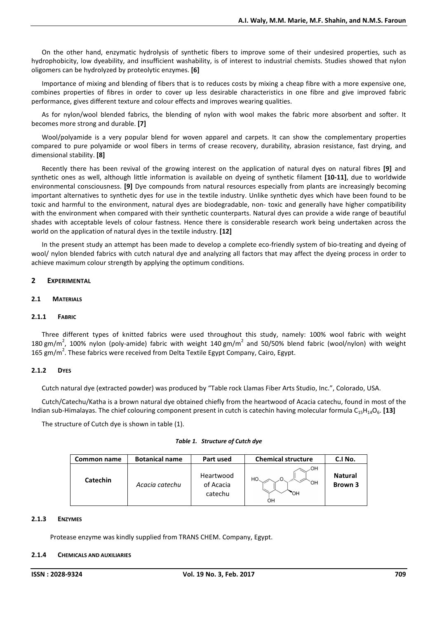On the other hand, enzymatic hydrolysis of synthetic fibers to improve some of their undesired properties, such as hydrophobicity, low dyeability, and insufficient washability, is of interest to industrial chemists. Studies showed that nylon oligomers can be hydrolyzed by proteolytic enzymes. **[6]**

Importance of mixing and blending of fibers that is to reduces costs by mixing a cheap fibre with a more expensive one, combines properties of fibres in order to cover up less desirable characteristics in one fibre and give improved fabric performance, gives different texture and colour effects and improves wearing qualities.

As for nylon/wool blended fabrics, the blending of nylon with wool makes the fabric more absorbent and softer. It becomes more strong and durable. **[7]** 

Wool/polyamide is a very popular blend for woven apparel and carpets. It can show the complementary properties compared to pure polyamide or wool fibers in terms of crease recovery, durability, abrasion resistance, fast drying, and dimensional stability. **[8]** 

Recently there has been revival of the growing interest on the application of natural dyes on natural fibres **[9]** and synthetic ones as well, although little information is available on dyeing of synthetic filament **[10-11]**, due to worldwide environmental consciousness. **[9]** Dye compounds from natural resources especially from plants are increasingly becoming important alternatives to synthetic dyes for use in the textile industry. Unlike synthetic dyes which have been found to be toxic and harmful to the environment, natural dyes are biodegradable, non- toxic and generally have higher compatibility with the environment when compared with their synthetic counterparts. Natural dyes can provide a wide range of beautiful shades with acceptable levels of colour fastness. Hence there is considerable research work being undertaken across the world on the application of natural dyes in the textile industry. **[12]** 

In the present study an attempt has been made to develop a complete eco-friendly system of bio-treating and dyeing of wool/ nylon blended fabrics with cutch natural dye and analyzing all factors that may affect the dyeing process in order to achieve maximum colour strength by applying the optimum conditions.

# **2 EXPERIMENTAL**

## **2.1 MATERIALS**

## **2.1.1 FABRIC**

Three different types of knitted fabrics were used throughout this study, namely: 100% wool fabric with weight 180 gm/m<sup>2</sup>, 100% nylon (poly-amide) fabric with weight 140 gm/m<sup>2</sup> and 50/50% blend fabric (wool/nylon) with weight 165 gm/m<sup>2</sup>. These fabrics were received from Delta Textile Egypt Company, Cairo, Egypt.

## **2.1.2 DYES**

Cutch natural dye (extracted powder) was produced by "Table rock Llamas Fiber Arts Studio, Inc.", Colorado, USA.

Cutch/Catechu/Katha is a brown natural dye obtained chiefly from the heartwood of Acacia catechu, found in most of the Indian sub-Himalayas. The chief colouring component present in cutch is catechin having molecular formula C<sub>15</sub>H<sub>14</sub>O<sub>6</sub>. [13]

The structure of Cutch dye is shown in table (1).

| Common name | <b>Botanical name</b> | Part used                         | <b>Chemical structure</b> | C.I No.                   |
|-------------|-----------------------|-----------------------------------|---------------------------|---------------------------|
| Catechin    | Acacia catechu        | Heartwood<br>of Acacia<br>catechu | _OH<br>HO.<br>'OΗ<br>OH   | <b>Natural</b><br>Brown 3 |

## *Table 1. Structure of Cutch dye*

#### **2.1.3 ENZYMES**

Protease enzyme was kindly supplied from TRANS CHEM. Company, Egypt.

## **2.1.4 CHEMICALS AND AUXILIARIES**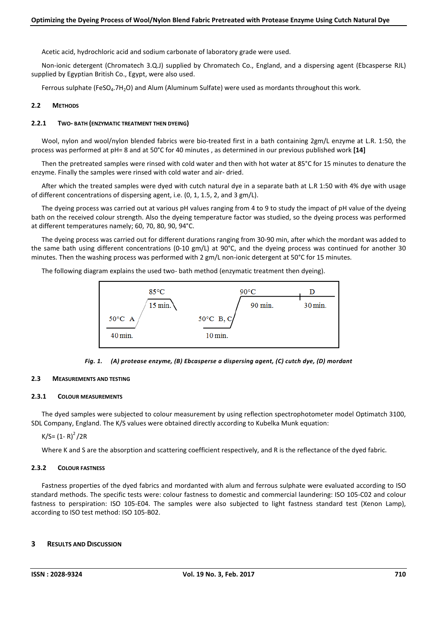Acetic acid, hydrochloric acid and sodium carbonate of laboratory grade were used.

Non-ionic detergent (Chromatech 3.Q.J) supplied by Chromatech Co., England, and a dispersing agent (Ebcasperse RJL) supplied by Egyptian British Co., Egypt, were also used.

Ferrous sulphate (FeSO<sub>4</sub>.7H<sub>2</sub>O) and Alum (Aluminum Sulfate) were used as mordants throughout this work.

#### **2.2 METHODS**

#### **2.2.1 TWO- BATH (ENZYMATIC TREATMENT THEN DYEING)**

Wool, nylon and wool/nylon blended fabrics were bio-treated first in a bath containing 2gm/L enzyme at L.R. 1:50, the process was performed at pH= 8 and at 50°C for 40 minutes , as determined in our previous published work **[14]**

Then the pretreated samples were rinsed with cold water and then with hot water at 85°C for 15 minutes to denature the enzyme. Finally the samples were rinsed with cold water and air- dried.

After which the treated samples were dyed with cutch natural dye in a separate bath at L.R 1:50 with 4% dye with usage of different concentrations of dispersing agent, i.e. (0, 1, 1.5, 2, and 3 gm/L).

The dyeing process was carried out at various pH values ranging from 4 to 9 to study the impact of pH value of the dyeing bath on the received colour strength. Also the dyeing temperature factor was studied, so the dyeing process was performed at different temperatures namely; 60, 70, 80, 90, 94°C.

The dyeing process was carried out for different durations ranging from 30-90 min, after which the mordant was added to the same bath using different concentrations (0-10 gm/L) at 90°C, and the dyeing process was continued for another 30 minutes. Then the washing process was performed with 2 gm/L non-ionic detergent at 50°C for 15 minutes.

The following diagram explains the used two- bath method (enzymatic treatment then dyeing).



*Fig. 1. (A) protease enzyme, (B) Ebcasperse a dispersing agent, (C) cutch dye, (D) mordant* 

## **2.3 MEASUREMENTS AND TESTING**

#### **2.3.1 COLOUR MEASUREMENTS**

The dyed samples were subjected to colour measurement by using reflection spectrophotometer model Optimatch 3100, SDL Company, England. The K/S values were obtained directly according to Kubelka Munk equation:

# $K/S = (1 - R)^2 / 2R$

Where K and S are the absorption and scattering coefficient respectively, and R is the reflectance of the dyed fabric.

## **2.3.2 COLOUR FASTNESS**

Fastness properties of the dyed fabrics and mordanted with alum and ferrous sulphate were evaluated according to ISO standard methods. The specific tests were: colour fastness to domestic and commercial laundering: ISO 105-C02 and colour fastness to perspiration: ISO 105-E04. The samples were also subjected to light fastness standard test (Xenon Lamp), according to ISO test method: ISO 105-B02.

## **3 RESULTS AND DISCUSSION**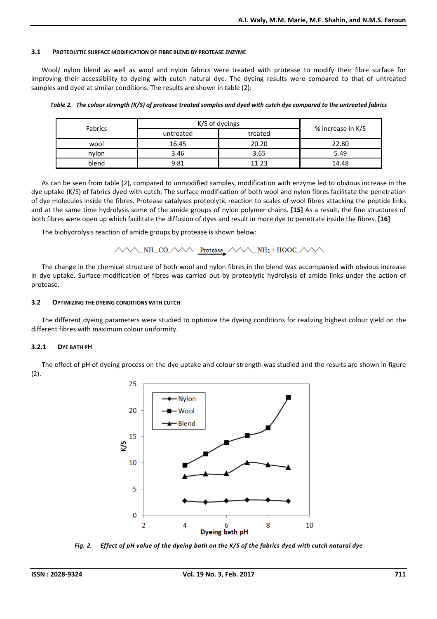## **3.1 PROTEOLYTIC SURFACE MODIFICATION OF FIBRE BLEND BY PROTEASE ENZYME**

Wool/ nylon blend as well as wool and nylon fabrics were treated with protease to modify their fibre surface for improving their accessibility to dyeing with cutch natural dye. The dyeing results were compared to that of untreated samples and dyed at similar conditions. The results are shown in table (2):

| <b>Fabrics</b> | K/S of dyeings | % increase in K/S |       |
|----------------|----------------|-------------------|-------|
|                | untreated      |                   |       |
| wool           | 16.45          | 20.20             | 22.80 |
| nvlon          | 3.46           | 3.65              | 5.49  |
| blend          | 9.81           | 11.23             | 14.48 |

*Table 2. The colour strength (K/S) of protease treated samples and dyed with cutch dye compared to the untreated fabrics* 

As can be seen from table (2), compared to unmodified samples, modification with enzyme led to obvious increase in the dye uptake (K/S) of fabrics dyed with cutch. The surface modification of both wool and nylon fibres facilitate the penetration of dye molecules inside the fibres. Protease catalyses proteolytic reaction to scales of wool fibres attacking the peptide links and at the same time hydrolysis some of the amide groups of nylon polymer chains. **[15]** As a result, the fine structures of both fibres were open up which facilitate the diffusion of dyes and result in more dye to penetrate inside the fibres. **[16]** 

The biohydrolysis reaction of amide groups by protease is shown below:

 $\wedge$ NH\_CO $\wedge\wedge\wedge$  Protease  $\wedge\wedge\wedge\wedge$ NH<sub>2</sub>+HOOC

The change in the chemical structure of both wool and nylon fibres in the blend was accompanied with obvious increase in dye uptake. Surface modification of fibres was carried out by proteolytic hydrolysis of amide links under the action of protease.

## **3.2 OPTIMIZING THE DYEING CONDITIONS WITH CUTCH**

The different dyeing parameters were studied to optimize the dyeing conditions for realizing highest colour yield on the different fibres with maximum colour uniformity.

# **3.2.1 DYE BATH PH**

The effect of pH of dyeing process on the dye uptake and colour strength was studied and the results are shown in figure  $(2).$ 



*Fig. 2. Effect of pH value of the dyeing bath on the K/S of the fabrics dyed with cutch natural dye*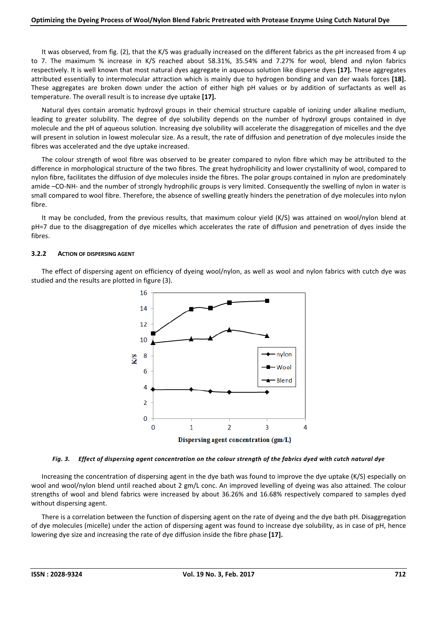It was observed, from fig. (2), that the K/S was gradually increased on the different fabrics as the pH increased from 4 up to 7. The maximum % increase in K/S reached about 58.31%, 35.54% and 7.27% for wool, blend and nylon fabrics respectively. It is well known that most natural dyes aggregate in aqueous solution like disperse dyes **[17].** These aggregates attributed essentially to intermolecular attraction which is mainly due to hydrogen bonding and van der waals forces **[18].**  These aggregates are broken down under the action of either high pH values or by addition of surfactants as well as temperature. The overall result is to increase dye uptake **[17].** 

Natural dyes contain aromatic hydroxyl groups in their chemical structure capable of ionizing under alkaline medium, leading to greater solubility. The degree of dye solubility depends on the number of hydroxyl groups contained in dye molecule and the pH of aqueous solution. Increasing dye solubility will accelerate the disaggregation of micelles and the dye will present in solution in lowest molecular size. As a result, the rate of diffusion and penetration of dye molecules inside the fibres was accelerated and the dye uptake increased.

The colour strength of wool fibre was observed to be greater compared to nylon fibre which may be attributed to the difference in morphological structure of the two fibres. The great hydrophilicity and lower crystallinity of wool, compared to nylon fibre, facilitates the diffusion of dye molecules inside the fibres. The polar groups contained in nylon are predominately amide –CO-NH- and the number of strongly hydrophilic groups is very limited. Consequently the swelling of nylon in water is small compared to wool fibre. Therefore, the absence of swelling greatly hinders the penetration of dye molecules into nylon fibre.

It may be concluded, from the previous results, that maximum colour yield (K/S) was attained on wool/nylon blend at pH=7 due to the disaggregation of dye micelles which accelerates the rate of diffusion and penetration of dyes inside the fibres.

## **3.2.2 ACTION OF DISPERSING AGENT**

The effect of dispersing agent on efficiency of dyeing wool/nylon, as well as wool and nylon fabrics with cutch dye was studied and the results are plotted in figure (3).



## *Fig. 3. Effect of dispersing agent concentration on the colour strength of the fabrics dyed with cutch natural dye*

Increasing the concentration of dispersing agent in the dye bath was found to improve the dye uptake (K/S) especially on wool and wool/nylon blend until reached about 2 gm/L conc. An improved levelling of dyeing was also attained. The colour strengths of wool and blend fabrics were increased by about 36.26% and 16.68% respectively compared to samples dyed without dispersing agent.

There is a correlation between the function of dispersing agent on the rate of dyeing and the dye bath pH. Disaggregation of dye molecules (micelle) under the action of dispersing agent was found to increase dye solubility, as in case of pH, hence lowering dye size and increasing the rate of dye diffusion inside the fibre phase **[17].**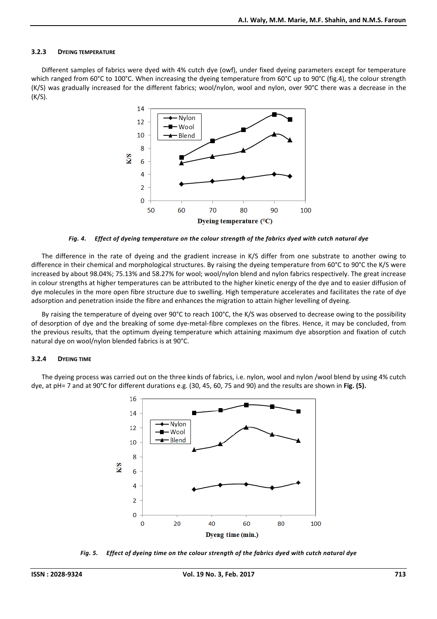## **3.2.3 DYEING TEMPERATURE**

Different samples of fabrics were dyed with 4% cutch dye (owf), under fixed dyeing parameters except for temperature which ranged from 60°C to 100°C. When increasing the dyeing temperature from 60°C up to 90°C (fig.4), the colour strength (K/S) was gradually increased for the different fabrics; wool/nylon, wool and nylon, over 90°C there was a decrease in the (K/S).



*Fig. 4. Effect of dyeing temperature on the colour strength of the fabrics dyed with cutch natural dye* 

The difference in the rate of dyeing and the gradient increase in K/S differ from one substrate to another owing to difference in their chemical and morphological structures. By raising the dyeing temperature from 60°C to 90°C the K/S were increased by about 98.04%; 75.13% and 58.27% for wool; wool/nylon blend and nylon fabrics respectively. The great increase in colour strengths at higher temperatures can be attributed to the higher kinetic energy of the dye and to easier diffusion of dye molecules in the more open fibre structure due to swelling. High temperature accelerates and facilitates the rate of dye adsorption and penetration inside the fibre and enhances the migration to attain higher levelling of dyeing.

By raising the temperature of dyeing over 90°C to reach 100°C, the K/S was observed to decrease owing to the possibility of desorption of dye and the breaking of some dye-metal-fibre complexes on the fibres. Hence, it may be concluded, from the previous results, that the optimum dyeing temperature which attaining maximum dye absorption and fixation of cutch natural dye on wool/nylon blended fabrics is at 90°C.

## **3.2.4 DYEING TIME**

The dyeing process was carried out on the three kinds of fabrics, i.e. nylon, wool and nylon /wool blend by using 4% cutch dye, at pH= 7 and at 90°C for different durations e.g. (30, 45, 60, 75 and 90) and the results are shown in **Fig. (5).** 



*Fig. 5. Effect of dyeing time on the colour strength of the fabrics dyed with cutch natural dye*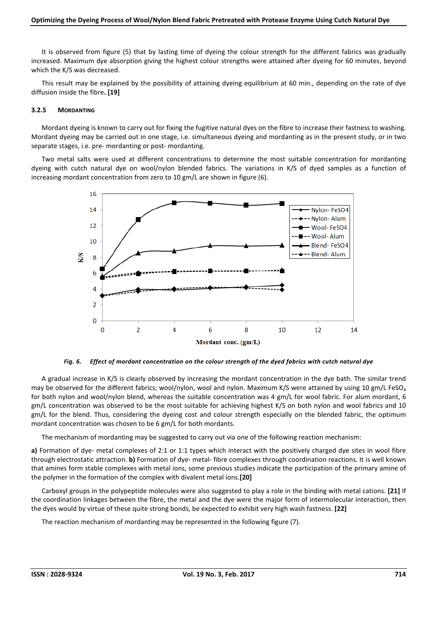It is observed from figure (5) that by lasting time of dyeing the colour strength for the different fabrics was gradually increased. Maximum dye absorption giving the highest colour strengths were attained after dyeing for 60 minutes, beyond which the K/S was decreased.

This result may be explained by the possibility of attaining dyeing equilibrium at 60 min., depending on the rate of dye diffusion inside the fibre**. [19]**

#### **3.2.5 MORDANTING**

Mordant dyeing is known to carry out for fixing the fugitive natural dyes on the fibre to increase their fastness to washing. Mordant dyeing may be carried out in one stage, i.e. simultaneous dyeing and mordanting as in the present study, or in two separate stages, i.e. pre- mordanting or post- mordanting.

Two metal salts were used at different concentrations to determine the most suitable concentration for mordanting dyeing with cutch natural dye on wool/nylon blended fabrics. The variations in K/S of dyed samples as a function of increasing mordant concentration from zero to 10 gm/L are shown in figure (6).



*Fig. 6. Effect of mordant concentration on the colour strength of the dyed fabrics with cutch natural dye* 

A gradual increase in K/S is clearly observed by increasing the mordant concentration in the dye bath. The similar trend may be observed for the different fabrics; wool/nylon, wool and nylon. Maximum K/S were attained by using 10 gm/L FeSO<sub>4</sub> for both nylon and wool/nylon blend, whereas the suitable concentration was 4 gm/L for wool fabric. For alum mordant, 6 gm/L concentration was observed to be the most suitable for achieving highest K/S on both nylon and wool fabrics and 10 gm/L for the blend. Thus, considering the dyeing cost and colour strength especially on the blended fabric, the optimum mordant concentration was chosen to be 6 gm/L for both mordants.

The mechanism of mordanting may be suggested to carry out via one of the following reaction mechanism:

**a)** Formation of dye- metal complexes of 2:1 or 1:1 types which interact with the positively charged dye sites in wool fibre through electrostatic attraction. **b)** Formation of dye- metal- fibre complexes through coordination reactions. It is well known that amines form stable complexes with metal ions, some previous studies indicate the participation of the primary amine of the polymer in the formation of the complex with divalent metal ions.**[20]**

Carboxyl groups in the polypeptide molecules were also suggested to play a role in the binding with metal cations. **[21]** If the coordination linkages between the fibre, the metal and the dye were the major form of intermolecular interaction, then the dyes would by virtue of these quite strong bonds, be expected to exhibit very high wash fastness. **[22]**

The reaction mechanism of mordanting may be represented in the following figure (7).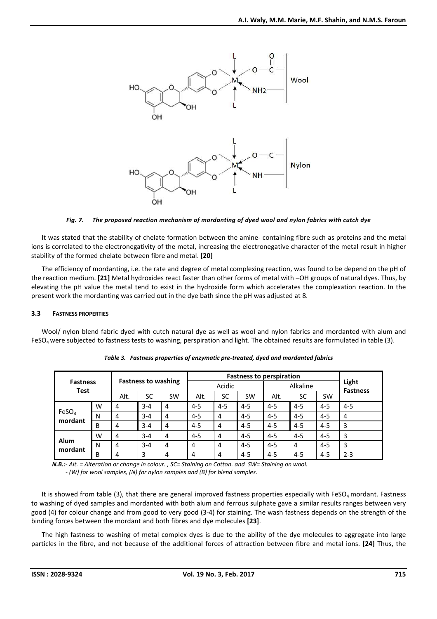

# *Fig. 7. The proposed reaction mechanism of mordanting of dyed wool and nylon fabrics with cutch dye*

It was stated that the stability of chelate formation between the amine- containing fibre such as proteins and the metal ions is correlated to the electronegativity of the metal, increasing the electronegative character of the metal result in higher stability of the formed chelate between fibre and metal. **[20]**

The efficiency of mordanting, i.e. the rate and degree of metal complexing reaction, was found to be depend on the pH of the reaction medium. **[21]** Metal hydroxides react faster than other forms of metal with –OH groups of natural dyes. Thus, by elevating the pH value the metal tend to exist in the hydroxide form which accelerates the complexation reaction. In the present work the mordanting was carried out in the dye bath since the pH was adjusted at 8.

## **3.3 FASTNESS PROPERTIES**

Wool/ nylon blend fabric dyed with cutch natural dye as well as wool and nylon fabrics and mordanted with alum and FeSO<sub>4</sub> were subjected to fastness tests to washing, perspiration and light. The obtained results are formulated in table (3).

| <b>Fastness</b><br><b>Test</b> |   | <b>Fastness to washing</b> |         | <b>Fastness to perspiration</b> |                |          |           |         |         |           |                 |
|--------------------------------|---|----------------------------|---------|---------------------------------|----------------|----------|-----------|---------|---------|-----------|-----------------|
|                                |   |                            |         | Acidic                          |                | Alkaline |           | Light   |         |           |                 |
|                                |   | Alt.                       | SC      | <b>SW</b>                       | Alt.           | SC       | <b>SW</b> | Alt.    | SC      | <b>SW</b> | <b>Fastness</b> |
| FeSO <sub>4</sub><br>mordant   | W | 4                          | $3 - 4$ | $\overline{4}$                  | $4 - 5$        | $4 - 5$  | $4 - 5$   | $4 - 5$ | $4 - 5$ | $4 - 5$   | $4 - 5$         |
|                                | N | 4                          | $3 - 4$ | 4                               | $4 - 5$        | 4        | $4 - 5$   | $4 - 5$ | $4 - 5$ | $4 - 5$   | $\overline{4}$  |
|                                | B | 4                          | $3 - 4$ | $\overline{4}$                  | $4 - 5$        | 4        | $4 - 5$   | $4 - 5$ | $4 - 5$ | $4 - 5$   | 3               |
| Alum<br>mordant                | W | 4                          | $3 - 4$ | 4                               | $4 - 5$        | 4        | $4 - 5$   | $4 - 5$ | $4 - 5$ | $4 - 5$   | 3               |
|                                | N | 4                          | $3 - 4$ | 4                               | $\overline{4}$ | 4        | $4 - 5$   | $4 - 5$ | 4       | $4 - 5$   | 3               |
|                                | B | 4                          | 3       | 4                               | $\overline{4}$ | 4        | $4 - 5$   | $4 - 5$ | $4 - 5$ | $4 - 5$   | $2 - 3$         |

|  | Table 3. Fastness properties of enzymatic pre-treated, dyed and mordanted fabrics |
|--|-----------------------------------------------------------------------------------|
|--|-----------------------------------------------------------------------------------|

*N.B.:- Alt. = Alteration or change in colour. , SC= Staining on Cotton. and SW= Staining on wool. - (W) for wool samples, (N) for nylon samples and (B) for blend samples.* 

It is showed from table (3), that there are general improved fastness properties especially with FeSO<sub>4</sub> mordant. Fastness to washing of dyed samples and mordanted with both alum and ferrous sulphate gave a similar results ranges between very good (4) for colour change and from good to very good (3-4) for staining. The wash fastness depends on the strength of the binding forces between the mordant and both fibres and dye molecules **[23]**.

The high fastness to washing of metal complex dyes is due to the ability of the dye molecules to aggregate into large particles in the fibre, and not because of the additional forces of attraction between fibre and metal ions. **[24]** Thus, the